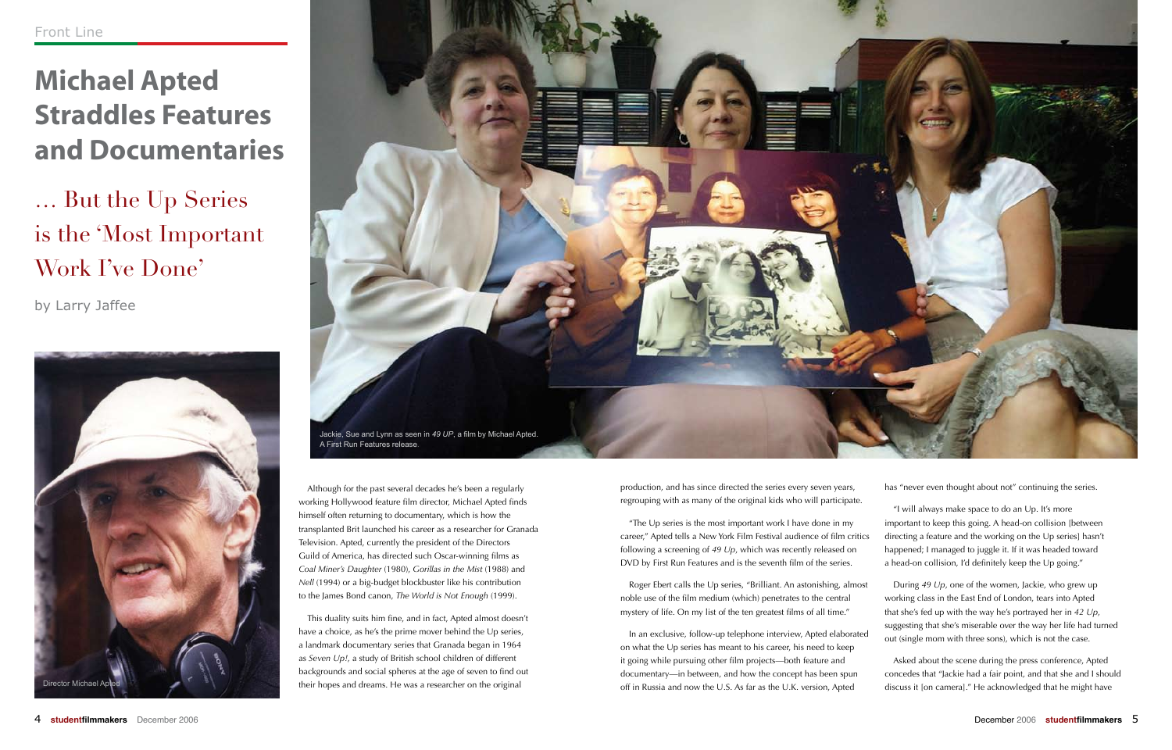# **Michael Apted Straddles Features and Documentaries**

… But the Up Series is the 'Most Important Work I've Done'

by Larry Jaffee

Although for the past several decades he's been a regularly working Hollywood feature film director, Michael Apted finds himself often returning to documentary, which is how the transplanted Brit launched his career as a researcher for Granada Television. Apted, currently the president of the Directors Guild of America, has directed such Oscar-winning films as *Coal Miner's Daughter* (1980), *Gorillas in the Mist* (1988) and *Nell* (1994) or a big-budget blockbuster like his contribution to the James Bond canon, *The World is Not Enough* (1999).

This duality suits him fine, and in fact, Apted almost doesn't have a choice, as he's the prime mover behind the Up series, a landmark documentary series that Granada began in 1964 as *Seven Up!*, a study of British school children of different backgrounds and social spheres at the age of seven to find out their hopes and dreams. He was a researcher on the original

production, and has since directed the series every seven years, regrouping with as many of the original kids who will participate.

"The Up series is the most important work I have done in my career," Apted tells a New York Film Festival audience of film critics following a screening of *49 Up*, which was recently released on DVD by First Run Features and is the seventh film of the series. "I will always make space to do an Up. It's more important to keep this going. A head-on collision [between directing a feature and the working on the Up series] hasn't happened; I managed to juggle it. If it was headed toward a head-on collision, I'd definitely keep the Up going."

on what the Up series has meant to his career, his need to keep it going while pursuing other film projects—both feature and documentary—in between, and how the concept has been spun off in Russia and now the U.S. As far as the U.K. version, Apted

has "never even thought about not" continuing the series.

Roger Ebert calls the Up series, "Brilliant. An astonishing, almost noble use of the film medium (which) penetrates to the central mystery of life. On my list of the ten greatest films of all time." In an exclusive, follow-up telephone interview, Apted elaborated During *49 Up*, one of the women, Jackie, who grew up working class in the East End of London, tears into Apted that she's fed up with the way he's portrayed her in *42 Up*, suggesting that she's miserable over the way her life had turned out (single mom with three sons), which is not the case.

> Asked about the scene during the press conference, Apted concedes that "Jackie had a fair point, and that she and I should discuss it [on camera]." He acknowledged that he might have



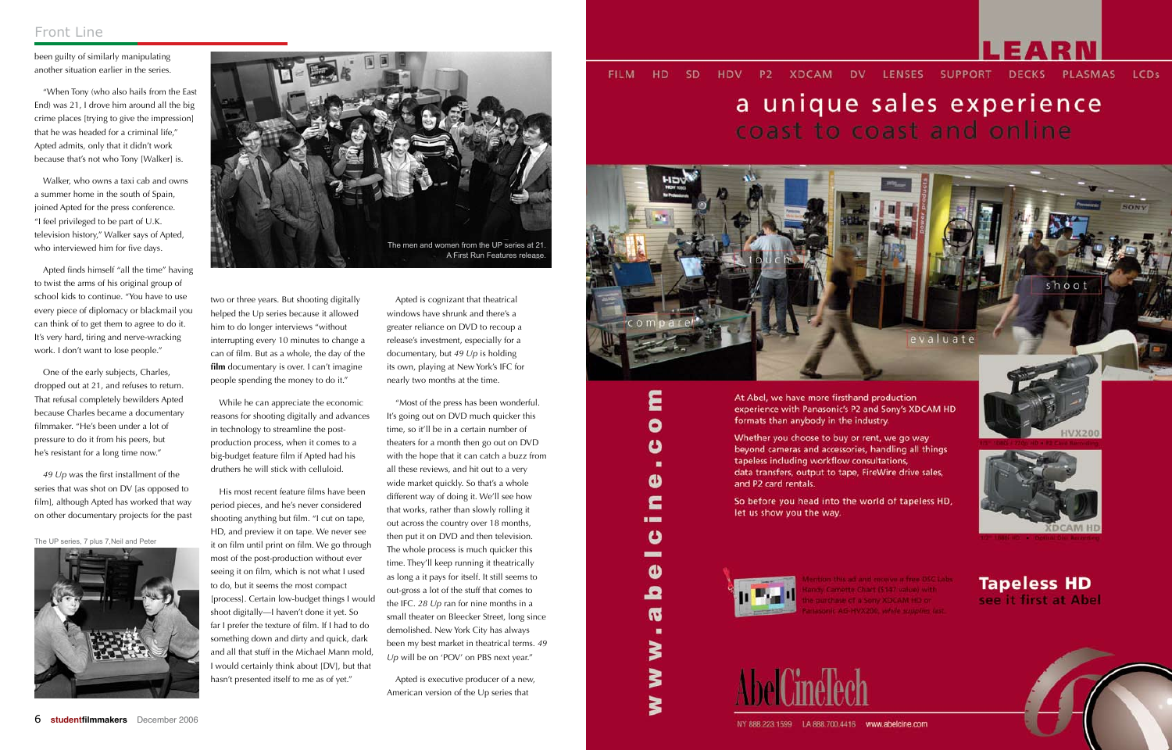

### a unique sales experience coast to coast and online





**Tapeless HD** see it first at Abel



been guilty of similarly manipulating another situation earlier in the series.

"When Tony (who also hails from the East End) was 21, I drove him around all the big crime places [trying to give the impression] that he was headed for a criminal life," Apted admits, only that it didn't work because that's not who Tony [Walker] is.

Walker, who owns a taxi cab and owns a summer home in the south of Spain, joined Apted for the press conference. "I feel privileged to be part of U.K. television history," Walker says of Apted, who interviewed him for five days.

Apted finds himself "all the time" having to twist the arms of his original group of school kids to continue. "You have to use every piece of diplomacy or blackmail you can think of to get them to agree to do it. It's very hard, tiring and nerve-wracking work. I don't want to lose people."

One of the early subjects, Charles, dropped out at 21, and refuses to return. That refusal completely bewilders Apted because Charles became a documentary filmmaker. "He's been under a lot of pressure to do it from his peers, but he's resistant for a long time now."

*49 Up* was the first installment of the series that was shot on DV [as opposed to film], although Apted has worked that way on other documentary projects for the past

"Most of the press has been wonderful. It's going out on DVD much quicker this time, so it'll be in a certain number of theaters for a month then go out on DVD with the hope that it can catch a buzz from all these reviews, and hit out to a very wide market quickly. So that's a whole different way of doing it. We'll see how that works, rather than slowly rolling it out across the country over 18 months, then put it on DVD and then television. The whole process is much quicker this time. They'll keep running it theatrically as long a it pays for itself. It still seems to out-gross a lot of the stuff that comes to the IFC. *28 Up* ran for nine months in a small theater on Bleecker Street, long since demolished. New York City has always been my best market in theatrical terms. *49 Up* will be on 'POV' on PBS next year."

two or three years. But shooting digitally helped the Up series because it allowed him to do longer interviews "without interrupting every 10 minutes to change a can of film. But as a whole, the day of the **film** documentary is over. I can't imagine people spending the money to do it."

While he can appreciate the economic reasons for shooting digitally and advances in technology to streamline the postproduction process, when it comes to a big-budget feature film if Apted had his druthers he will stick with celluloid.

His most recent feature films have been period pieces, and he's never considered shooting anything but film. "I cut on tape, HD, and preview it on tape. We never see it on film until print on film. We go through most of the post-production without ever seeing it on film, which is not what I used to do, but it seems the most compact [process]. Certain low-budget things I would shoot digitally—I haven't done it yet. So far I prefer the texture of film. If I had to do something down and dirty and quick, dark and all that stuff in the Michael Mann mold, I would certainly think about [DV], but that hasn't presented itself to me as of yet."

Apted is cognizant that theatrical windows have shrunk and there's a greater reliance on DVD to recoup a release's investment, especially for a documentary, but *49 Up* is holding its own, playing at New York's IFC for nearly two months at the time.

Apted is executive producer of a new, American version of the Up series that

#### P2 XDCAM DV LENSES SUPPORT DECKS **HD SD** LCDs **FILM HDV** PLASMAS



At Abel, we have more firsthand production experience with Panasonic's P2 and Sony's XDCAM HD formats than anybody in the industry.

Whether you choose to buy or rent, we go way beyond cameras and accessories, handling all things tapeless including workflow consultations, data transfers, output to tape, FireWire drive sales, and P2 card rentals.

So before you head into the world of tapeless HD, let us show you the way.



٤

0

ပ

٠

Φ

c

1999 ပ -Φ

ء

**G** ٠

₹

≽

Š



### Front Line



The UP series, 7 plus 7,Neil and Peter